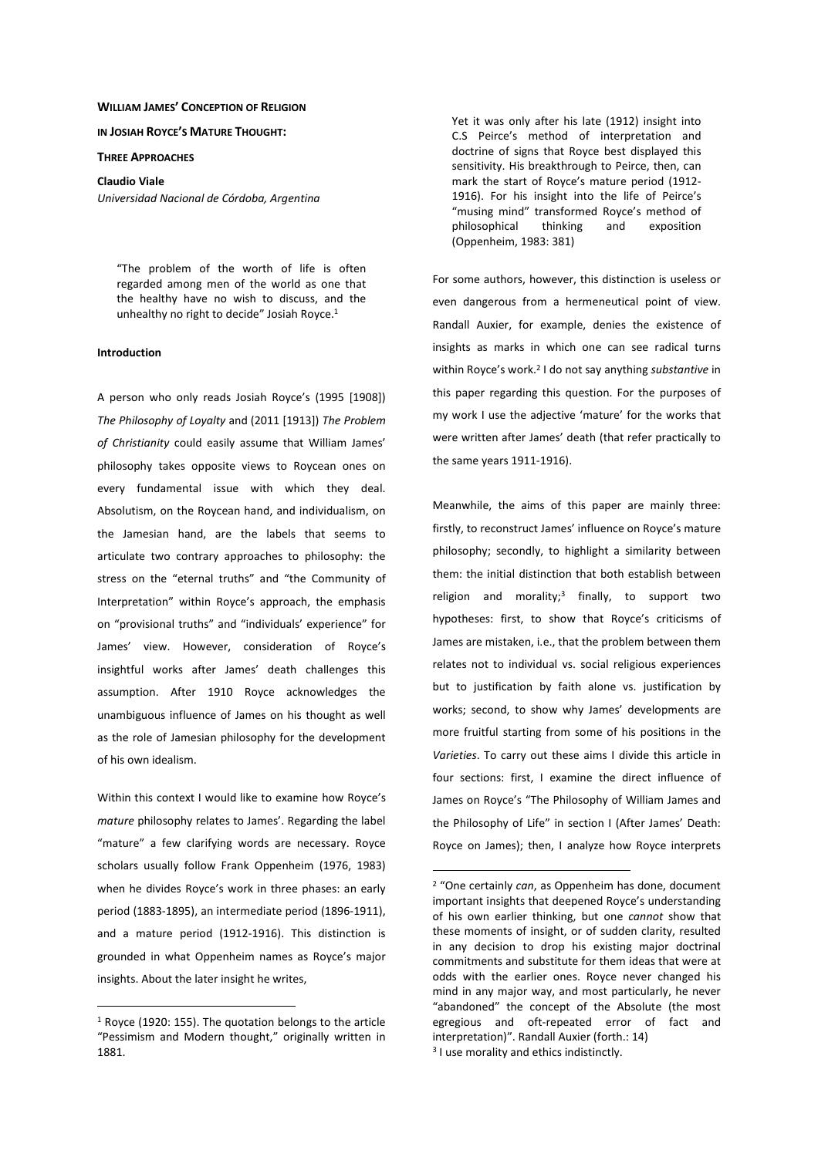#### **WILLIAM JAMES' CONCEPTION OF RELIGION**

**IN JOSIAH ROYCE'S MATURE THOUGHT:**

**THREE APPROACHES**

**Claudio Viale**  *Universidad Nacional de Córdoba, Argentina* 

"The problem of the worth of life is often regarded among men of the world as one that the healthy have no wish to discuss, and the unhealthy no right to decide" Josiah Royce.<sup>1</sup>

# **Introduction**

A person who only reads Josiah Royce's (1995 [1908]) *The Philosophy of Loyalty* and (2011 [1913]) *The Problem of Christianity* could easily assume that William James' philosophy takes opposite views to Roycean ones on every fundamental issue with which they deal. Absolutism, on the Roycean hand, and individualism, on the Jamesian hand, are the labels that seems to articulate two contrary approaches to philosophy: the stress on the "eternal truths" and "the Community of Interpretation" within Royce's approach, the emphasis on "provisional truths" and "individuals' experience" for James' view. However, consideration of Royce's insightful works after James' death challenges this assumption. After 1910 Royce acknowledges the unambiguous influence of James on his thought as well as the role of Jamesian philosophy for the development of his own idealism.

Within this context I would like to examine how Royce's *mature* philosophy relates to James'. Regarding the label "mature" a few clarifying words are necessary. Royce scholars usually follow Frank Oppenheim (1976, 1983) when he divides Royce's work in three phases: an early period (1883-1895), an intermediate period (1896-1911), and a mature period (1912-1916). This distinction is grounded in what Oppenheim names as Royce's major insights. About the later insight he writes,

 $\overline{a}$ 

Yet it was only after his late (1912) insight into C.S Peirce's method of interpretation and doctrine of signs that Royce best displayed this sensitivity. His breakthrough to Peirce, then, can mark the start of Royce's mature period (1912- 1916). For his insight into the life of Peirce's "musing mind" transformed Royce's method of philosophical thinking and exposition (Oppenheim, 1983: 381)

For some authors, however, this distinction is useless or even dangerous from a hermeneutical point of view. Randall Auxier, for example, denies the existence of insights as marks in which one can see radical turns within Royce's work.<sup>2</sup> I do not say anything *substantive* in this paper regarding this question. For the purposes of my work I use the adjective 'mature' for the works that were written after James' death (that refer practically to the same years 1911-1916).

Meanwhile, the aims of this paper are mainly three: firstly, to reconstruct James' influence on Royce's mature philosophy; secondly, to highlight a similarity between them: the initial distinction that both establish between religion and morality;<sup>3</sup> finally, to support two hypotheses: first, to show that Royce's criticisms of James are mistaken, i.e., that the problem between them relates not to individual vs. social religious experiences but to justification by faith alone vs. justification by works; second, to show why James' developments are more fruitful starting from some of his positions in the *Varieties*. To carry out these aims I divide this article in four sections: first, I examine the direct influence of James on Royce's "The Philosophy of William James and the Philosophy of Life" in section I (After James' Death: Royce on James); then, I analyze how Royce interprets

<sup>1</sup> Royce (1920: 155). The quotation belongs to the article "Pessimism and Modern thought," originally written in 1881.

<sup>2</sup> "One certainly *can*, as Oppenheim has done, document important insights that deepened Royce's understanding of his own earlier thinking, but one *cannot* show that these moments of insight, or of sudden clarity, resulted in any decision to drop his existing major doctrinal commitments and substitute for them ideas that were at odds with the earlier ones. Royce never changed his mind in any major way, and most particularly, he never "abandoned" the concept of the Absolute (the most egregious and oft-repeated error of fact and interpretation)". Randall Auxier (forth.: 14) <sup>3</sup> I use morality and ethics indistinctly.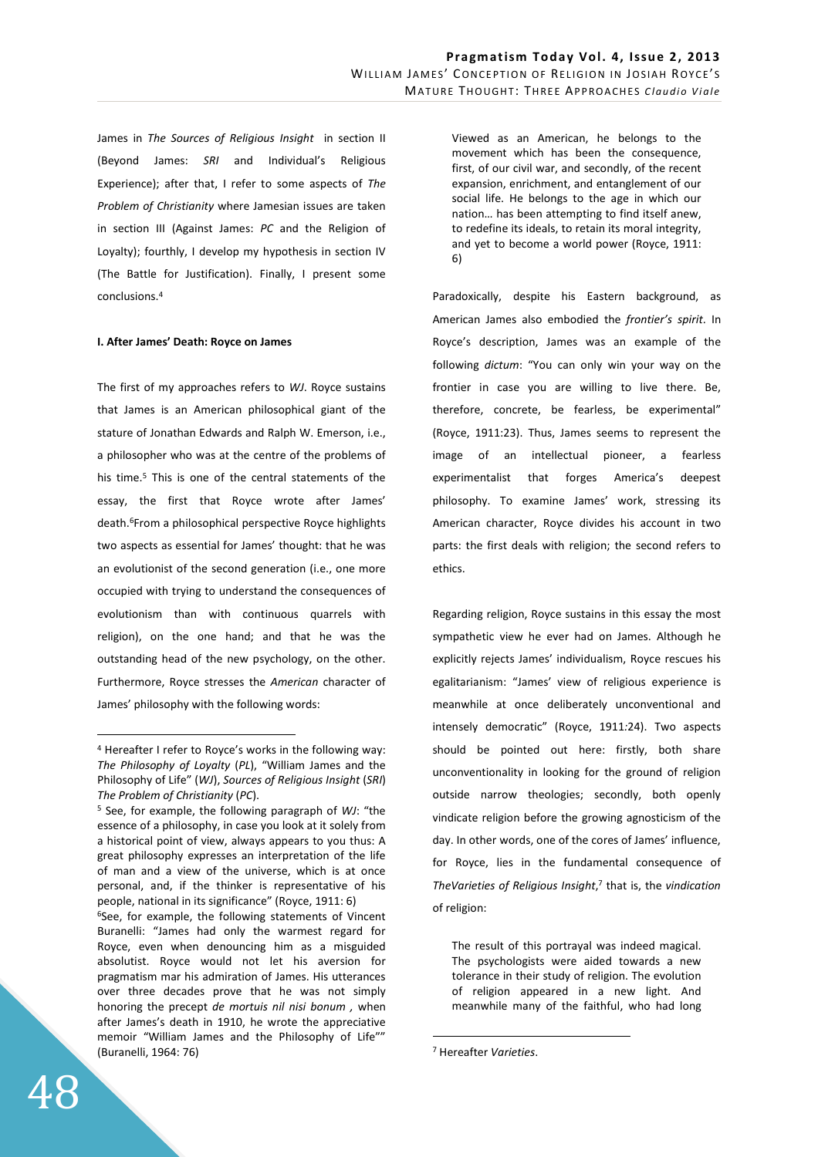James in *The Sources of Religious Insight* in section II (Beyond James: *SRI* and Individual's Religious Experience); after that, I refer to some aspects of *The Problem of Christianity* where Jamesian issues are taken in section III (Against James: *PC* and the Religion of Loyalty); fourthly, I develop my hypothesis in section IV (The Battle for Justification). Finally, I present some conclusions.<sup>4</sup>

### **I. After James' Death: Royce on James**

The first of my approaches refers to *WJ*. Royce sustains that James is an American philosophical giant of the stature of Jonathan Edwards and Ralph W. Emerson, i.e., a philosopher who was at the centre of the problems of his time.<sup>5</sup> This is one of the central statements of the essay, the first that Royce wrote after James' death.<sup>6</sup>From a philosophical perspective Royce highlights two aspects as essential for James' thought: that he was an evolutionist of the second generation (i.e., one more occupied with trying to understand the consequences of evolutionism than with continuous quarrels with religion), on the one hand; and that he was the outstanding head of the new psychology, on the other. Furthermore, Royce stresses the *American* character of James' philosophy with the following words:

<sup>6</sup>See, for example, the following statements of Vincent Buranelli: "James had only the warmest regard for Royce, even when denouncing him as a misguided absolutist. Royce would not let his aversion for pragmatism mar his admiration of James. His utterances over three decades prove that he was not simply honoring the precept *de mortuis nil nisi bonum ,* when after James's death in 1910, he wrote the appreciative memoir "William James and the Philosophy of Life"" (Buranelli, 1964: 76)

Viewed as an American, he belongs to the movement which has been the consequence, first, of our civil war, and secondly, of the recent expansion, enrichment, and entanglement of our social life. He belongs to the age in which our nation… has been attempting to find itself anew, to redefine its ideals, to retain its moral integrity, and yet to become a world power (Royce, 1911: 6)

Paradoxically, despite his Eastern background, as American James also embodied the *frontier's spirit*. In Royce's description, James was an example of the following *dictum*: "You can only win your way on the frontier in case you are willing to live there. Be, therefore, concrete, be fearless, be experimental" (Royce, 1911:23). Thus, James seems to represent the image of an intellectual pioneer, a fearless experimentalist that forges America's deepest philosophy. To examine James' work, stressing its American character, Royce divides his account in two parts: the first deals with religion; the second refers to ethics.

Regarding religion, Royce sustains in this essay the most sympathetic view he ever had on James. Although he explicitly rejects James' individualism, Royce rescues his egalitarianism: "James' view of religious experience is meanwhile at once deliberately unconventional and intensely democratic" (Royce, 1911*:*24). Two aspects should be pointed out here: firstly, both share unconventionality in looking for the ground of religion outside narrow theologies; secondly, both openly vindicate religion before the growing agnosticism of the day. In other words, one of the cores of James' influence, for Royce, lies in the fundamental consequence of *TheVarieties of Religious Insight*, 7 that is, the *vindication* of religion:

The result of this portrayal was indeed magical. The psychologists were aided towards a new tolerance in their study of religion. The evolution of religion appeared in a new light. And meanwhile many of the faithful, who had long

 $\overline{a}$ 

<sup>4</sup> Hereafter I refer to Royce's works in the following way: *The Philosophy of Loyalty* (*PL*), "William James and the Philosophy of Life" (*WJ*), *Sources of Religious Insight* (*SRI*) *The Problem of Christianity* (*PC*).

<sup>5</sup> See, for example, the following paragraph of *WJ*: "the essence of a philosophy, in case you look at it solely from a historical point of view, always appears to you thus: A great philosophy expresses an interpretation of the life of man and a view of the universe, which is at once personal, and, if the thinker is representative of his people, national in its significance" (Royce, 1911: 6)

<sup>7</sup> Hereafter *Varieties*.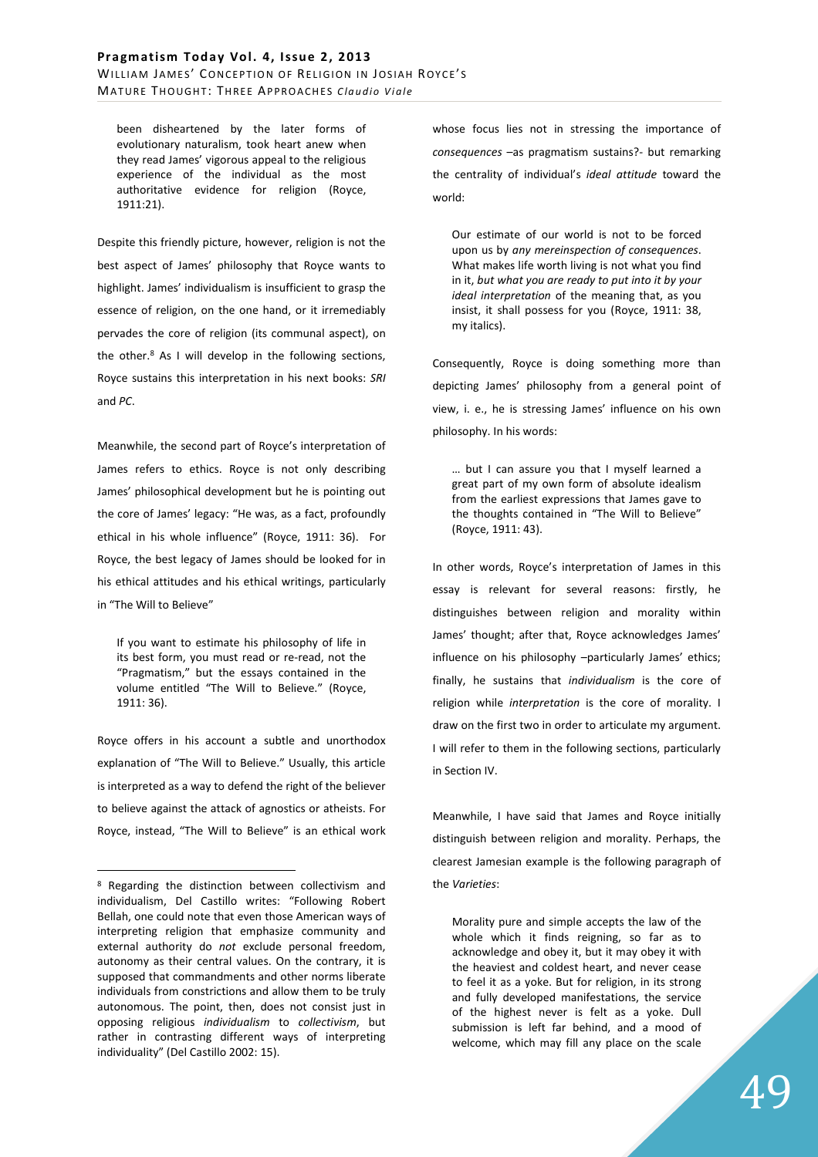been disheartened by the later forms of evolutionary naturalism, took heart anew when they read James' vigorous appeal to the religious experience of the individual as the most authoritative evidence for religion (Royce, 1911:21).

Despite this friendly picture, however, religion is not the best aspect of James' philosophy that Royce wants to highlight. James' individualism is insufficient to grasp the essence of religion, on the one hand, or it irremediably pervades the core of religion (its communal aspect), on the other.<sup>8</sup> As I will develop in the following sections, Royce sustains this interpretation in his next books: *SRI*  and *PC*.

Meanwhile, the second part of Royce's interpretation of James refers to ethics. Royce is not only describing James' philosophical development but he is pointing out the core of James' legacy: "He was, as a fact, profoundly ethical in his whole influence" (Royce, 1911: 36). For Royce, the best legacy of James should be looked for in his ethical attitudes and his ethical writings, particularly in "The Will to Believe"

If you want to estimate his philosophy of life in its best form, you must read or re-read, not the "Pragmatism," but the essays contained in the volume entitled "The Will to Believe." (Royce, 1911: 36).

Royce offers in his account a subtle and unorthodox explanation of "The Will to Believe." Usually, this article is interpreted as a way to defend the right of the believer to believe against the attack of agnostics or atheists. For Royce, instead, "The Will to Believe" is an ethical work

 $\overline{a}$ 

whose focus lies not in stressing the importance of *consequences* –as pragmatism sustains?- but remarking the centrality of individual's *ideal attitude* toward the world:

Our estimate of our world is not to be forced upon us by *any mereinspection of consequences*. What makes life worth living is not what you find in it, *but what you are ready to put into it by your ideal interpretation* of the meaning that, as you insist, it shall possess for you (Royce, 1911: 38, my italics).

Consequently, Royce is doing something more than depicting James' philosophy from a general point of view, i. e., he is stressing James' influence on his own philosophy. In his words:

… but I can assure you that I myself learned a great part of my own form of absolute idealism from the earliest expressions that James gave to the thoughts contained in "The Will to Believe" (Royce, 1911: 43).

In other words, Royce's interpretation of James in this essay is relevant for several reasons: firstly, he distinguishes between religion and morality within James' thought; after that, Royce acknowledges James' influence on his philosophy –particularly James' ethics; finally, he sustains that *individualism* is the core of religion while *interpretation* is the core of morality. I draw on the first two in order to articulate my argument. I will refer to them in the following sections, particularly in Section IV.

Meanwhile, I have said that James and Royce initially distinguish between religion and morality. Perhaps, the clearest Jamesian example is the following paragraph of the *Varieties*:

Morality pure and simple accepts the law of the whole which it finds reigning, so far as to acknowledge and obey it, but it may obey it with the heaviest and coldest heart, and never cease to feel it as a yoke. But for religion, in its strong and fully developed manifestations, the service of the highest never is felt as a yoke. Dull submission is left far behind, and a mood of welcome, which may fill any place on the scale

<sup>&</sup>lt;sup>8</sup> Regarding the distinction between collectivism and individualism, Del Castillo writes: "Following Robert Bellah, one could note that even those American ways of interpreting religion that emphasize community and external authority do *not* exclude personal freedom, autonomy as their central values. On the contrary, it is supposed that commandments and other norms liberate individuals from constrictions and allow them to be truly autonomous. The point, then, does not consist just in opposing religious *individualism* to *collectivism*, but rather in contrasting different ways of interpreting individuality" (Del Castillo 2002: 15).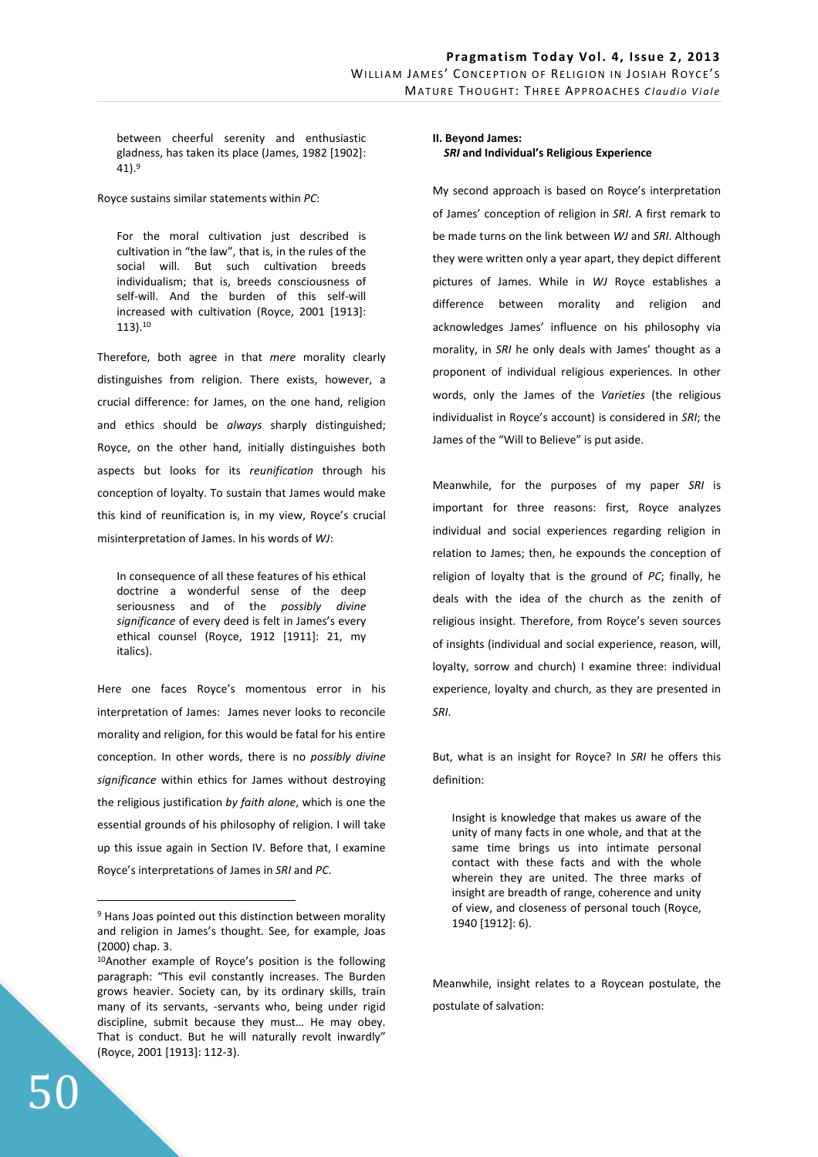between cheerful serenity and enthusiastic gladness, has taken its place (James, 1982 [1902]:  $41$ ).<sup>9</sup>

Royce sustains similar statements within *PC*:

For the moral cultivation just described is cultivation in "the law", that is, in the rules of the social will. But such cultivation breeds individualism; that is, breeds consciousness of self-will. And the burden of this self-will increased with cultivation (Royce, 2001 [1913]: 113).<sup>10</sup>

Therefore, both agree in that *mere* morality clearly distinguishes from religion. There exists, however, a crucial difference: for James, on the one hand, religion and ethics should be *always* sharply distinguished; Royce, on the other hand, initially distinguishes both aspects but looks for its *reunification* through his conception of loyalty. To sustain that James would make this kind of reunification is, in my view, Royce's crucial misinterpretation of James. In his words of *WJ*:

In consequence of all these features of his ethical doctrine a wonderful sense of the deep seriousness and of the *possibly divine significance* of every deed is felt in James's every ethical counsel (Royce, 1912 [1911]: 21, my italics).

Here one faces Royce's momentous error in his interpretation of James: James never looks to reconcile morality and religion, for this would be fatal for his entire conception. In other words, there is no *possibly divine significance* within ethics for James without destroying the religious justification *by faith alone*, which is one the essential grounds of his philosophy of religion. I will take up this issue again in Section IV. Before that, I examine Royce's interpretations of James in *SRI* and *PC*.

50

 $\overline{a}$ 

# **II. Beyond James:** *SRI* **and Individual's Religious Experience**

My second approach is based on Royce's interpretation of James' conception of religion in *SRI*. A first remark to be made turns on the link between *WJ* and *SRI*. Although they were written only a year apart, they depict different pictures of James. While in *WJ* Royce establishes a difference between morality and religion and acknowledges James' influence on his philosophy via morality, in *SRI* he only deals with James' thought as a proponent of individual religious experiences. In other words, only the James of the *Varieties* (the religious individualist in Royce's account) is considered in *SRI*; the James of the "Will to Believe" is put aside.

Meanwhile, for the purposes of my paper *SRI* is important for three reasons: first, Royce analyzes individual and social experiences regarding religion in relation to James; then, he expounds the conception of religion of loyalty that is the ground of *PC*; finally, he deals with the idea of the church as the zenith of religious insight. Therefore, from Royce's seven sources of insights (individual and social experience, reason, will, loyalty, sorrow and church) I examine three: individual experience, loyalty and church, as they are presented in *SRI*.

But, what is an insight for Royce? In *SRI* he offers this definition:

Insight is knowledge that makes us aware of the unity of many facts in one whole, and that at the same time brings us into intimate personal contact with these facts and with the whole wherein they are united. The three marks of insight are breadth of range, coherence and unity of view, and closeness of personal touch (Royce, 1940 [1912]: 6).

Meanwhile, insight relates to a Roycean postulate, the postulate of salvation:

<sup>&</sup>lt;sup>9</sup> Hans Joas pointed out this distinction between morality and religion in James's thought. See, for example, Joas (2000) chap. 3.

<sup>10</sup>Another example of Royce's position is the following paragraph: "This evil constantly increases. The Burden grows heavier. Society can, by its ordinary skills, train many of its servants, -servants who, being under rigid discipline, submit because they must… He may obey. That is conduct. But he will naturally revolt inwardly" (Royce, 2001 [1913]: 112-3).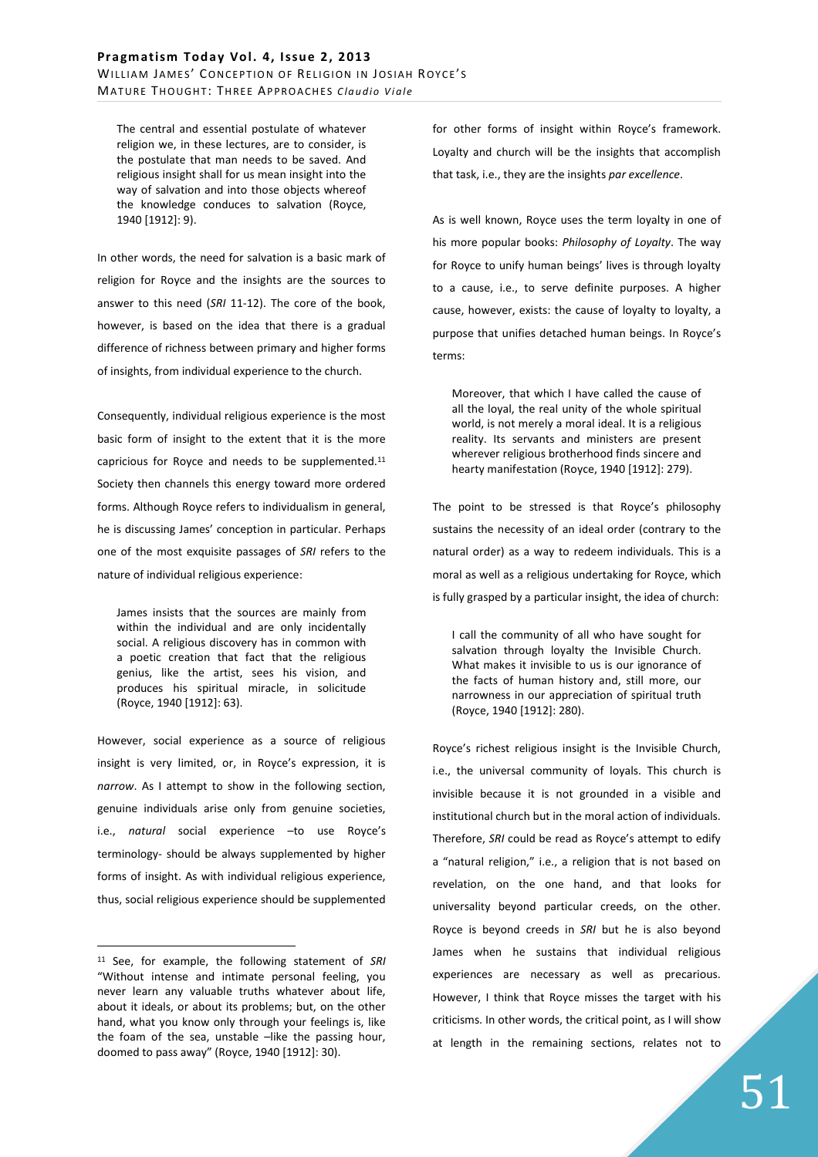The central and essential postulate of whatever religion we, in these lectures, are to consider, is the postulate that man needs to be saved. And religious insight shall for us mean insight into the way of salvation and into those objects whereof the knowledge conduces to salvation (Royce, 1940 [1912]: 9).

In other words, the need for salvation is a basic mark of religion for Royce and the insights are the sources to answer to this need (*SRI* 11-12). The core of the book, however, is based on the idea that there is a gradual difference of richness between primary and higher forms of insights, from individual experience to the church.

Consequently, individual religious experience is the most basic form of insight to the extent that it is the more capricious for Royce and needs to be supplemented.<sup>11</sup> Society then channels this energy toward more ordered forms. Although Royce refers to individualism in general, he is discussing James' conception in particular. Perhaps one of the most exquisite passages of *SRI* refers to the nature of individual religious experience:

James insists that the sources are mainly from within the individual and are only incidentally social. A religious discovery has in common with a poetic creation that fact that the religious genius, like the artist, sees his vision, and produces his spiritual miracle, in solicitude (Royce, 1940 [1912]: 63).

However, social experience as a source of religious insight is very limited, or, in Royce's expression, it is *narrow*. As I attempt to show in the following section, genuine individuals arise only from genuine societies, i.e., *natural* social experience –to use Royce's terminology- should be always supplemented by higher forms of insight. As with individual religious experience, thus, social religious experience should be supplemented

 $\overline{a}$ 

for other forms of insight within Royce's framework. Loyalty and church will be the insights that accomplish that task, i.e., they are the insights *par excellence*.

As is well known, Royce uses the term loyalty in one of his more popular books: *Philosophy of Loyalty*. The way for Royce to unify human beings' lives is through loyalty to a cause, i.e., to serve definite purposes. A higher cause, however, exists: the cause of loyalty to loyalty, a purpose that unifies detached human beings. In Royce's terms:

Moreover, that which I have called the cause of all the loyal, the real unity of the whole spiritual world, is not merely a moral ideal. It is a religious reality. Its servants and ministers are present wherever religious brotherhood finds sincere and hearty manifestation (Royce, 1940 [1912]: 279).

The point to be stressed is that Royce's philosophy sustains the necessity of an ideal order (contrary to the natural order) as a way to redeem individuals. This is a moral as well as a religious undertaking for Royce, which is fully grasped by a particular insight, the idea of church:

I call the community of all who have sought for salvation through loyalty the Invisible Church. What makes it invisible to us is our ignorance of the facts of human history and, still more, our narrowness in our appreciation of spiritual truth (Royce, 1940 [1912]: 280).

Royce's richest religious insight is the Invisible Church, i.e., the universal community of loyals. This church is invisible because it is not grounded in a visible and institutional church but in the moral action of individuals. Therefore, *SRI* could be read as Royce's attempt to edify a "natural religion," i.e., a religion that is not based on revelation, on the one hand, and that looks for universality beyond particular creeds, on the other. Royce is beyond creeds in *SRI* but he is also beyond James when he sustains that individual religious experiences are necessary as well as precarious. However, I think that Royce misses the target with his criticisms. In other words, the critical point, as I will show at length in the remaining sections, relates not to

<sup>11</sup> See, for example, the following statement of *SRI* "Without intense and intimate personal feeling, you never learn any valuable truths whatever about life, about it ideals, or about its problems; but, on the other hand, what you know only through your feelings is, like the foam of the sea, unstable -like the passing hour, doomed to pass away" (Royce, 1940 [1912]: 30).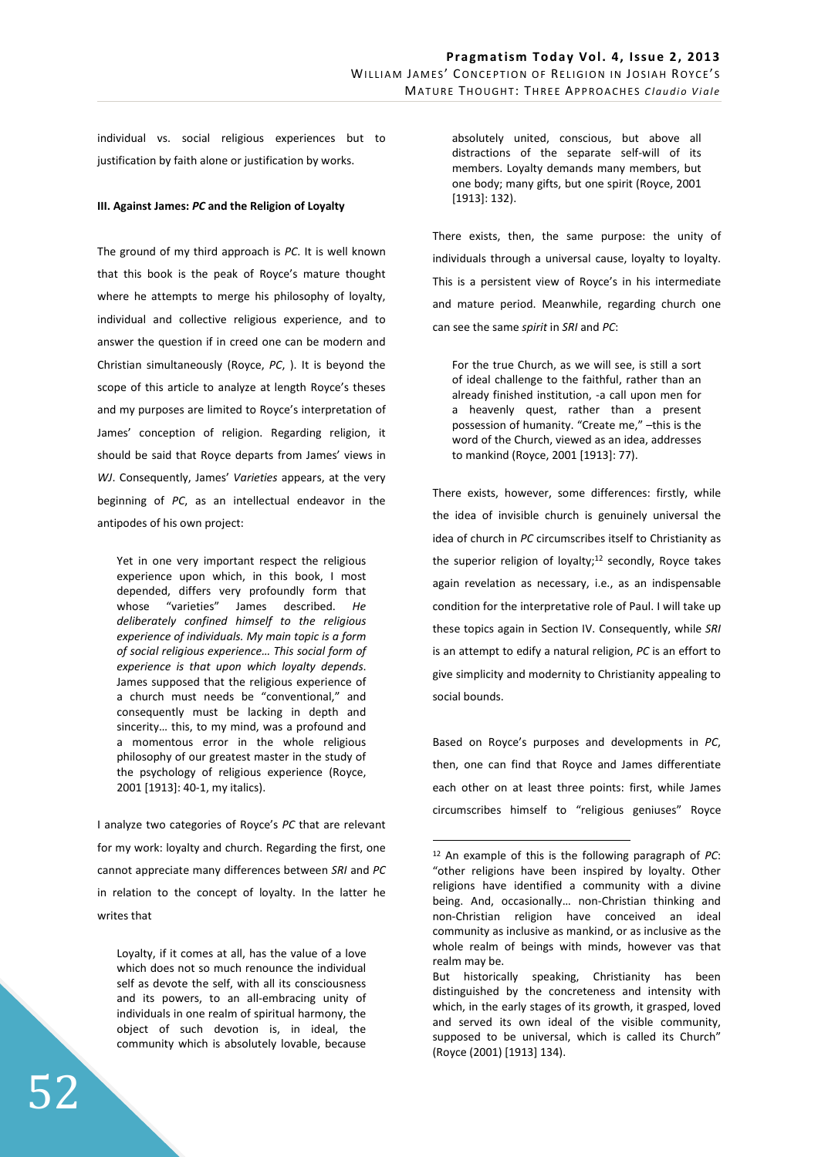individual vs. social religious experiences but to justification by faith alone or justification by works.

### **III. Against James:** *PC* **and the Religion of Loyalty**

The ground of my third approach is *PC*. It is well known that this book is the peak of Royce's mature thought where he attempts to merge his philosophy of loyalty, individual and collective religious experience, and to answer the question if in creed one can be modern and Christian simultaneously (Royce, *PC*, ). It is beyond the scope of this article to analyze at length Royce's theses and my purposes are limited to Royce's interpretation of James' conception of religion. Regarding religion, it should be said that Royce departs from James' views in *WJ*. Consequently, James' *Varieties* appears, at the very beginning of *PC*, as an intellectual endeavor in the antipodes of his own project:

Yet in one very important respect the religious experience upon which, in this book, I most depended, differs very profoundly form that whose "varieties" James described. *He deliberately confined himself to the religious experience of individuals. My main topic is a form of social religious experience… This social form of experience is that upon which loyalty depends*. James supposed that the religious experience of a church must needs be "conventional," and consequently must be lacking in depth and sincerity… this, to my mind, was a profound and a momentous error in the whole religious philosophy of our greatest master in the study of the psychology of religious experience (Royce, 2001 [1913]: 40-1, my italics).

I analyze two categories of Royce's *PC* that are relevant for my work: loyalty and church. Regarding the first, one cannot appreciate many differences between *SRI* and *PC* in relation to the concept of loyalty. In the latter he writes that

Loyalty, if it comes at all, has the value of a love which does not so much renounce the individual self as devote the self, with all its consciousness and its powers, to an all-embracing unity of individuals in one realm of spiritual harmony, the object of such devotion is, in ideal, the community which is absolutely lovable, because

absolutely united, conscious, but above all distractions of the separate self-will of its members. Loyalty demands many members, but one body; many gifts, but one spirit (Royce, 2001 [1913]: 132).

There exists, then, the same purpose: the unity of individuals through a universal cause, loyalty to loyalty. This is a persistent view of Royce's in his intermediate and mature period. Meanwhile, regarding church one can see the same *spirit* in *SRI* and *PC*:

For the true Church, as we will see, is still a sort of ideal challenge to the faithful, rather than an already finished institution, -a call upon men for a heavenly quest, rather than a present possession of humanity. "Create me," –this is the word of the Church, viewed as an idea, addresses to mankind (Royce, 2001 [1913]: 77).

There exists, however, some differences: firstly, while the idea of invisible church is genuinely universal the idea of church in *PC* circumscribes itself to Christianity as the superior religion of loyalty;<sup>12</sup> secondly, Royce takes again revelation as necessary, i.e., as an indispensable condition for the interpretative role of Paul. I will take up these topics again in Section IV. Consequently, while *SRI* is an attempt to edify a natural religion, *PC* is an effort to give simplicity and modernity to Christianity appealing to social bounds.

Based on Royce's purposes and developments in *PC*, then, one can find that Royce and James differentiate each other on at least three points: first, while James circumscribes himself to "religious geniuses" Royce

<sup>12</sup> An example of this is the following paragraph of *PC*: "other religions have been inspired by loyalty. Other religions have identified a community with a divine being. And, occasionally… non-Christian thinking and non-Christian religion have conceived an ideal community as inclusive as mankind, or as inclusive as the whole realm of beings with minds, however vas that realm may be.

But historically speaking, Christianity has been distinguished by the concreteness and intensity with which, in the early stages of its growth, it grasped, loved and served its own ideal of the visible community, supposed to be universal, which is called its Church" (Royce (2001) [1913] 134).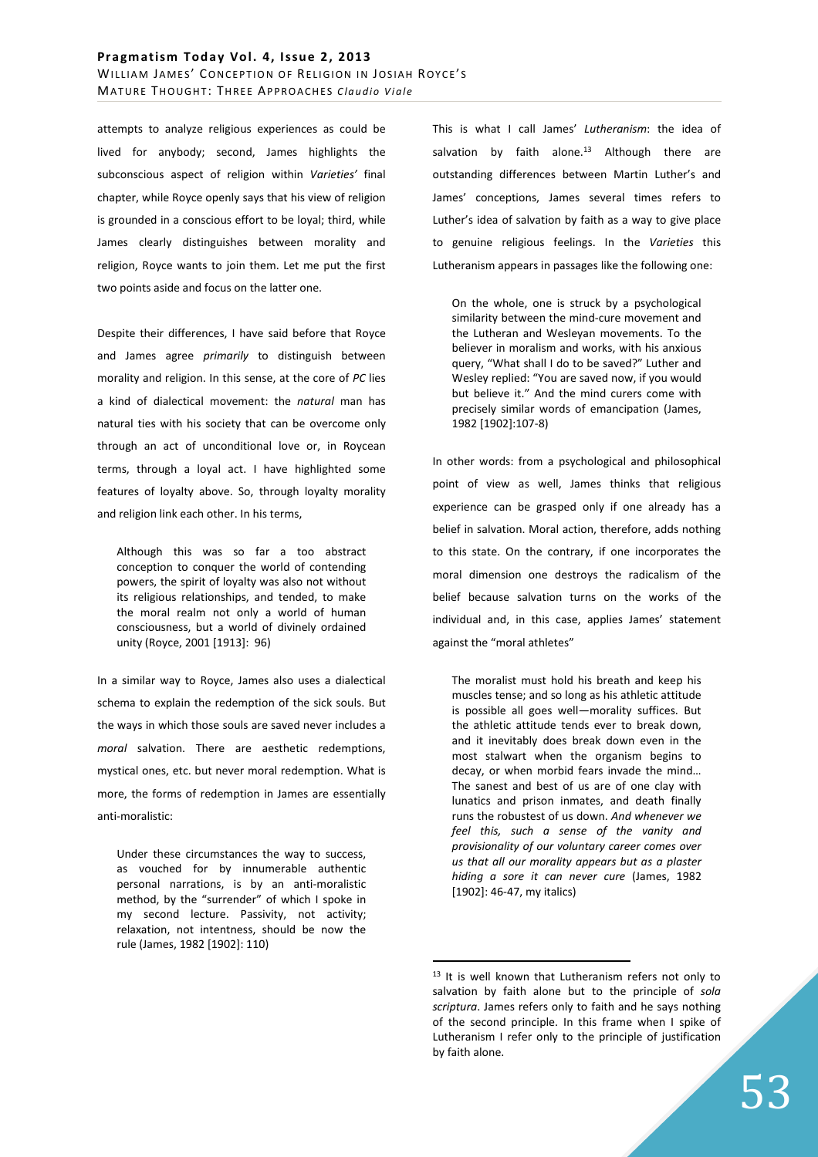attempts to analyze religious experiences as could be lived for anybody; second, James highlights the subconscious aspect of religion within *Varieties'* final chapter, while Royce openly says that his view of religion is grounded in a conscious effort to be loyal; third, while James clearly distinguishes between morality and religion, Royce wants to join them. Let me put the first two points aside and focus on the latter one.

Despite their differences, I have said before that Royce and James agree *primarily* to distinguish between morality and religion. In this sense, at the core of *PC* lies a kind of dialectical movement: the *natural* man has natural ties with his society that can be overcome only through an act of unconditional love or, in Roycean terms, through a loyal act. I have highlighted some features of loyalty above. So, through loyalty morality and religion link each other. In his terms,

Although this was so far a too abstract conception to conquer the world of contending powers, the spirit of loyalty was also not without its religious relationships, and tended, to make the moral realm not only a world of human consciousness, but a world of divinely ordained unity (Royce, 2001 [1913]: 96)

In a similar way to Royce, James also uses a dialectical schema to explain the redemption of the sick souls. But the ways in which those souls are saved never includes a *moral* salvation. There are aesthetic redemptions, mystical ones, etc. but never moral redemption. What is more, the forms of redemption in James are essentially anti-moralistic:

Under these circumstances the way to success, as vouched for by innumerable authentic personal narrations, is by an anti-moralistic method, by the "surrender" of which I spoke in my second lecture. Passivity, not activity; relaxation, not intentness, should be now the rule (James, 1982 [1902]: 110)

This is what I call James' *Lutheranism*: the idea of salvation by faith alone.<sup>13</sup> Although there are outstanding differences between Martin Luther's and James' conceptions, James several times refers to Luther's idea of salvation by faith as a way to give place to genuine religious feelings. In the *Varieties* this Lutheranism appears in passages like the following one:

On the whole, one is struck by a psychological similarity between the mind-cure movement and the Lutheran and Wesleyan movements. To the believer in moralism and works, with his anxious query, "What shall I do to be saved?" Luther and Wesley replied: "You are saved now, if you would but believe it." And the mind curers come with precisely similar words of emancipation (James, 1982 [1902]:107-8)

In other words: from a psychological and philosophical point of view as well, James thinks that religious experience can be grasped only if one already has a belief in salvation. Moral action, therefore, adds nothing to this state. On the contrary, if one incorporates the moral dimension one destroys the radicalism of the belief because salvation turns on the works of the individual and, in this case, applies James' statement against the "moral athletes"

The moralist must hold his breath and keep his muscles tense; and so long as his athletic attitude is possible all goes well—morality suffices. But the athletic attitude tends ever to break down, and it inevitably does break down even in the most stalwart when the organism begins to decay, or when morbid fears invade the mind… The sanest and best of us are of one clay with lunatics and prison inmates, and death finally runs the robustest of us down. *And whenever we feel this, such a sense of the vanity and provisionality of our voluntary career comes over us that all our morality appears but as a plaster hiding a sore it can never cure* (James, 1982 [1902]: 46-47, my italics)

<sup>&</sup>lt;sup>13</sup> It is well known that Lutheranism refers not only to salvation by faith alone but to the principle of *sola scriptura*. James refers only to faith and he says nothing of the second principle. In this frame when I spike of Lutheranism I refer only to the principle of justification by faith alone.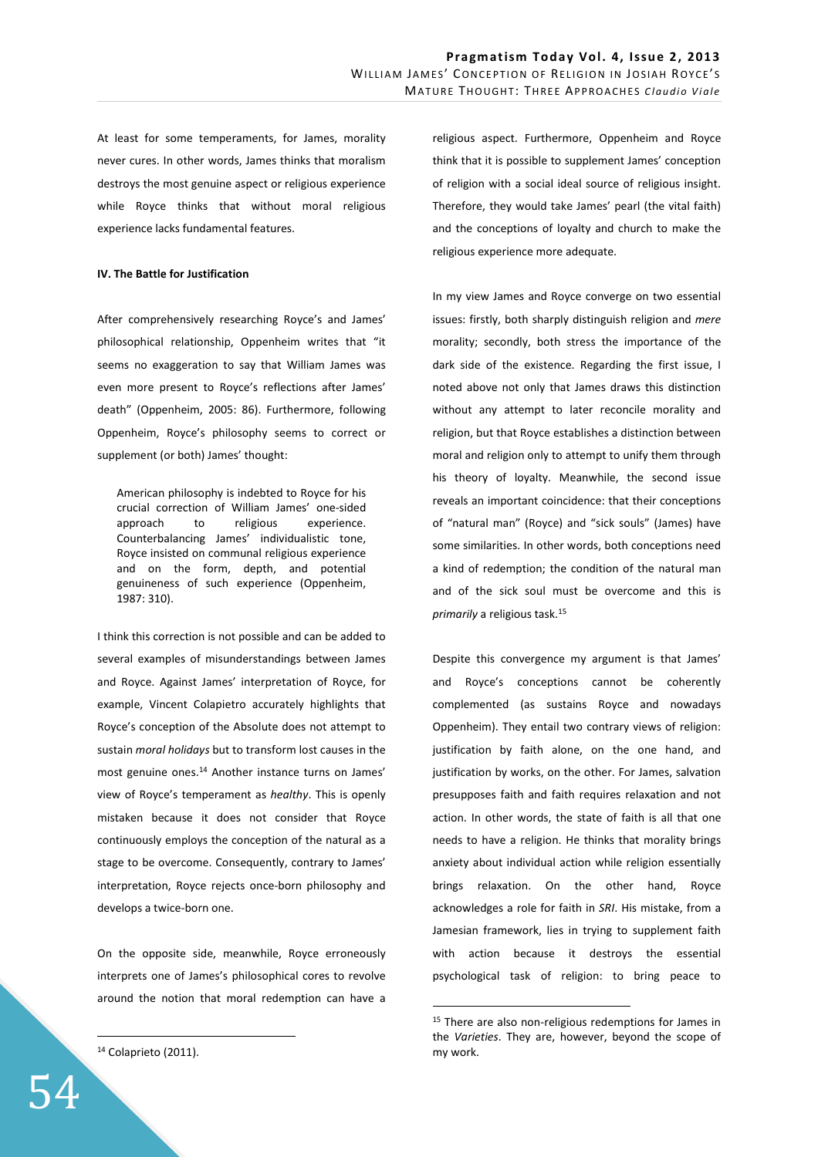At least for some temperaments, for James, morality never cures. In other words, James thinks that moralism destroys the most genuine aspect or religious experience while Royce thinks that without moral religious experience lacks fundamental features.

### **IV. The Battle for Justification**

After comprehensively researching Royce's and James' philosophical relationship, Oppenheim writes that "it seems no exaggeration to say that William James was even more present to Royce's reflections after James' death" (Oppenheim, 2005: 86). Furthermore, following Oppenheim, Royce's philosophy seems to correct or supplement (or both) James' thought:

American philosophy is indebted to Royce for his crucial correction of William James' one-sided approach to religious experience. Counterbalancing James' individualistic tone, Royce insisted on communal religious experience and on the form, depth, and potential genuineness of such experience (Oppenheim, 1987: 310).

I think this correction is not possible and can be added to several examples of misunderstandings between James and Royce. Against James' interpretation of Royce, for example, Vincent Colapietro accurately highlights that Royce's conception of the Absolute does not attempt to sustain *moral holidays* but to transform lost causes in the most genuine ones.<sup>14</sup> Another instance turns on James' view of Royce's temperament as *healthy*. This is openly mistaken because it does not consider that Royce continuously employs the conception of the natural as a stage to be overcome. Consequently, contrary to James' interpretation, Royce rejects once-born philosophy and develops a twice-born one.

On the opposite side, meanwhile, Royce erroneously interprets one of James's philosophical cores to revolve around the notion that moral redemption can have a

<sup>14</sup> Colaprieto (2011).

 $\overline{a}$ 

religious aspect. Furthermore, Oppenheim and Royce think that it is possible to supplement James' conception of religion with a social ideal source of religious insight. Therefore, they would take James' pearl (the vital faith) and the conceptions of loyalty and church to make the religious experience more adequate.

In my view James and Royce converge on two essential issues: firstly, both sharply distinguish religion and *mere* morality; secondly, both stress the importance of the dark side of the existence. Regarding the first issue, I noted above not only that James draws this distinction without any attempt to later reconcile morality and religion, but that Royce establishes a distinction between moral and religion only to attempt to unify them through his theory of loyalty. Meanwhile, the second issue reveals an important coincidence: that their conceptions of "natural man" (Royce) and "sick souls" (James) have some similarities. In other words, both conceptions need a kind of redemption; the condition of the natural man and of the sick soul must be overcome and this is *primarily* a religious task.<sup>15</sup>

Despite this convergence my argument is that James' and Royce's conceptions cannot be coherently complemented (as sustains Royce and nowadays Oppenheim). They entail two contrary views of religion: justification by faith alone, on the one hand, and justification by works, on the other. For James, salvation presupposes faith and faith requires relaxation and not action. In other words, the state of faith is all that one needs to have a religion. He thinks that morality brings anxiety about individual action while religion essentially brings relaxation. On the other hand, Royce acknowledges a role for faith in *SRI*. His mistake, from a Jamesian framework, lies in trying to supplement faith with action because it destroys the essential psychological task of religion: to bring peace to

<sup>&</sup>lt;sup>15</sup> There are also non-religious redemptions for James in the *Varieties*. They are, however, beyond the scope of my work.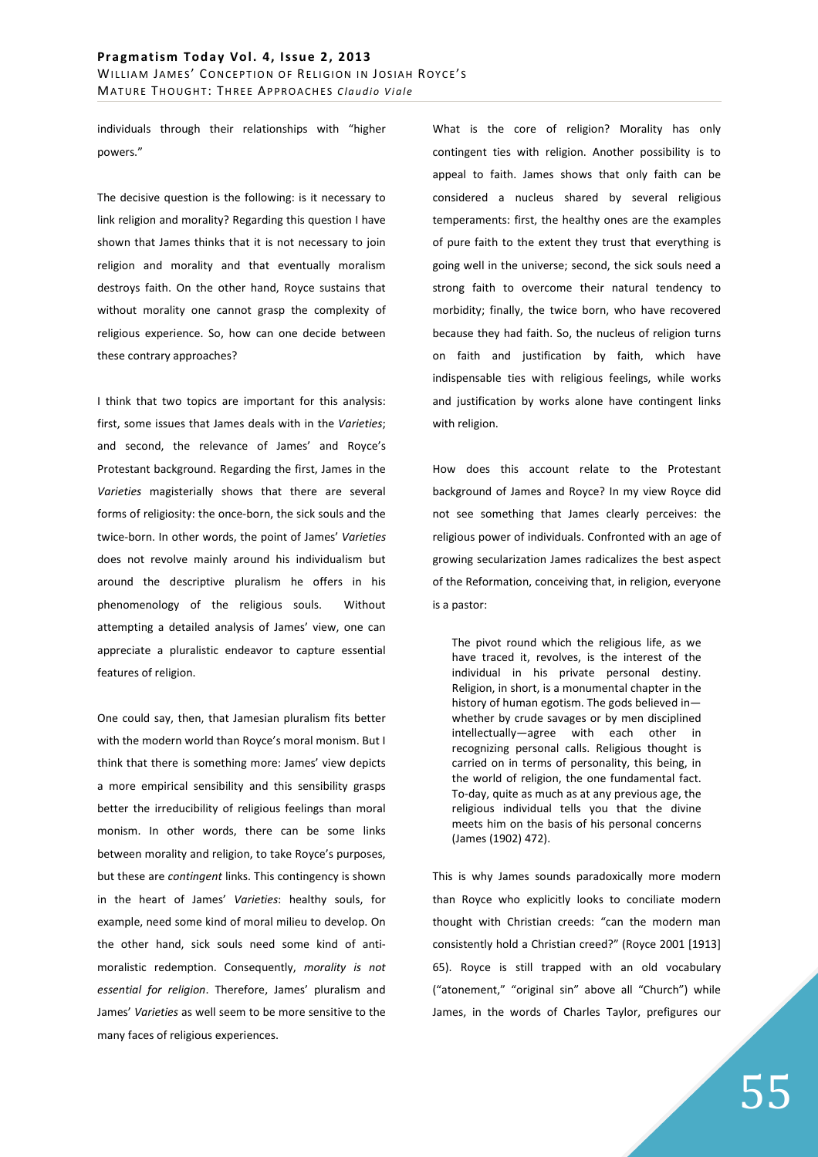individuals through their relationships with "higher powers."

The decisive question is the following: is it necessary to link religion and morality? Regarding this question I have shown that James thinks that it is not necessary to join religion and morality and that eventually moralism destroys faith. On the other hand, Royce sustains that without morality one cannot grasp the complexity of religious experience. So, how can one decide between these contrary approaches?

I think that two topics are important for this analysis: first, some issues that James deals with in the *Varieties*; and second, the relevance of James' and Royce's Protestant background. Regarding the first, James in the *Varieties* magisterially shows that there are several forms of religiosity: the once-born, the sick souls and the twice-born. In other words, the point of James' *Varieties* does not revolve mainly around his individualism but around the descriptive pluralism he offers in his phenomenology of the religious souls. Without attempting a detailed analysis of James' view, one can appreciate a pluralistic endeavor to capture essential features of religion.

One could say, then, that Jamesian pluralism fits better with the modern world than Royce's moral monism. But I think that there is something more: James' view depicts a more empirical sensibility and this sensibility grasps better the irreducibility of religious feelings than moral monism. In other words, there can be some links between morality and religion, to take Royce's purposes, but these are *contingent* links. This contingency is shown in the heart of James' *Varieties*: healthy souls, for example, need some kind of moral milieu to develop. On the other hand, sick souls need some kind of antimoralistic redemption. Consequently, *morality is not essential for religion*. Therefore, James' pluralism and James' *Varieties* as well seem to be more sensitive to the many faces of religious experiences.

What is the core of religion? Morality has only contingent ties with religion. Another possibility is to appeal to faith. James shows that only faith can be considered a nucleus shared by several religious temperaments: first, the healthy ones are the examples of pure faith to the extent they trust that everything is going well in the universe; second, the sick souls need a strong faith to overcome their natural tendency to morbidity; finally, the twice born, who have recovered because they had faith. So, the nucleus of religion turns on faith and justification by faith, which have indispensable ties with religious feelings, while works and justification by works alone have contingent links with religion.

How does this account relate to the Protestant background of James and Royce? In my view Royce did not see something that James clearly perceives: the religious power of individuals. Confronted with an age of growing secularization James radicalizes the best aspect of the Reformation, conceiving that, in religion, everyone is a pastor:

The pivot round which the religious life, as we have traced it, revolves, is the interest of the individual in his private personal destiny. Religion, in short, is a monumental chapter in the history of human egotism. The gods believed in whether by crude savages or by men disciplined intellectually—agree with each other in recognizing personal calls. Religious thought is carried on in terms of personality, this being, in the world of religion, the one fundamental fact. To-day, quite as much as at any previous age, the religious individual tells you that the divine meets him on the basis of his personal concerns (James (1902) 472).

This is why James sounds paradoxically more modern than Royce who explicitly looks to conciliate modern thought with Christian creeds: "can the modern man consistently hold a Christian creed?" (Royce 2001 [1913] 65). Royce is still trapped with an old vocabulary ("atonement," "original sin" above all "Church") while James, in the words of Charles Taylor, prefigures our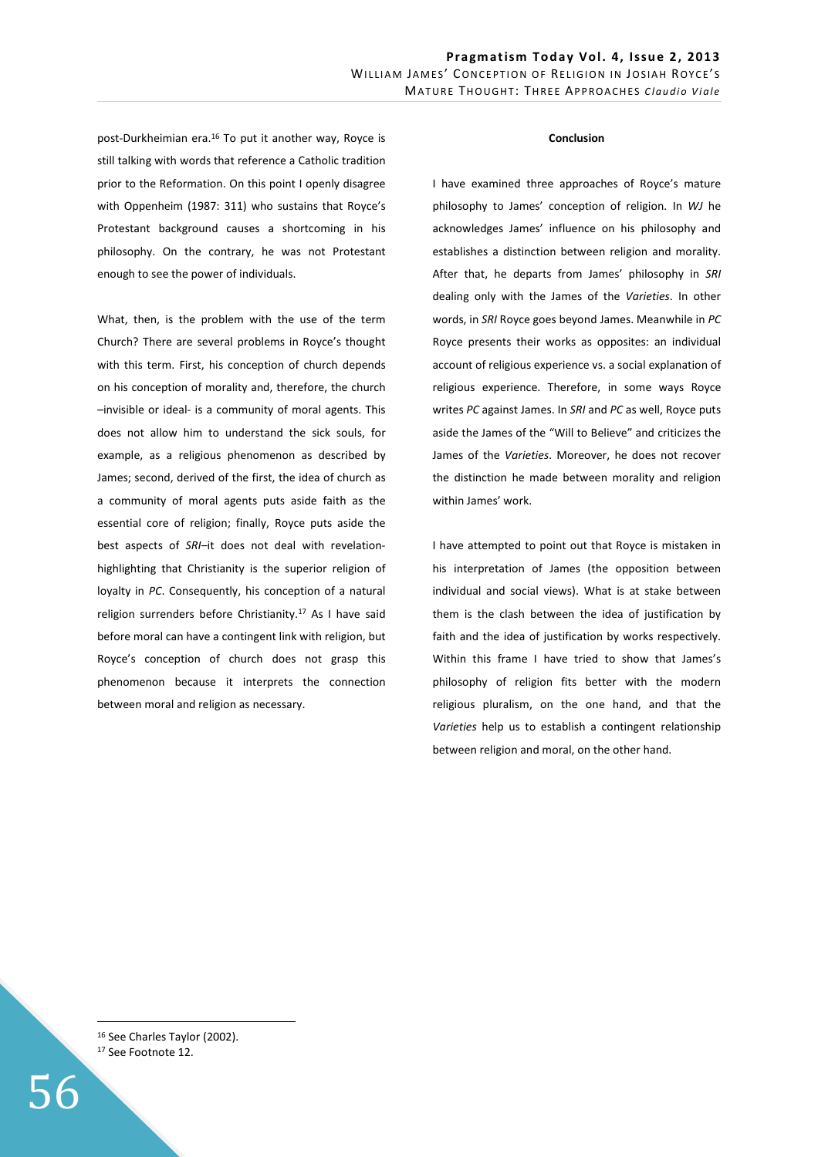post-Durkheimian era.<sup>16</sup> To put it another way, Royce is still talking with words that reference a Catholic tradition prior to the Reformation. On this point I openly disagree with Oppenheim (1987: 311) who sustains that Royce's Protestant background causes a shortcoming in his philosophy. On the contrary, he was not Protestant enough to see the power of individuals.

What, then, is the problem with the use of the term Church? There are several problems in Royce's thought with this term. First, his conception of church depends on his conception of morality and, therefore, the church –invisible or ideal- is a community of moral agents. This does not allow him to understand the sick souls, for example, as a religious phenomenon as described by James; second, derived of the first, the idea of church as a community of moral agents puts aside faith as the essential core of religion; finally, Royce puts aside the best aspects of *SRI*–it does not deal with revelationhighlighting that Christianity is the superior religion of loyalty in *PC*. Consequently, his conception of a natural religion surrenders before Christianity.<sup>17</sup> As I have said before moral can have a contingent link with religion, but Royce's conception of church does not grasp this phenomenon because it interprets the connection between moral and religion as necessary.

#### **Conclusion**

I have examined three approaches of Royce's mature philosophy to James' conception of religion. In *WJ* he acknowledges James' influence on his philosophy and establishes a distinction between religion and morality. After that, he departs from James' philosophy in *SRI* dealing only with the James of the *Varieties*. In other words, in *SRI* Royce goes beyond James. Meanwhile in *PC* Royce presents their works as opposites: an individual account of religious experience vs. a social explanation of religious experience. Therefore, in some ways Royce writes *PC* against James. In *SRI* and *PC* as well, Royce puts aside the James of the "Will to Believe" and criticizes the James of the *Varieties*. Moreover, he does not recover the distinction he made between morality and religion within James' work.

I have attempted to point out that Royce is mistaken in his interpretation of James (the opposition between individual and social views). What is at stake between them is the clash between the idea of justification by faith and the idea of justification by works respectively. Within this frame I have tried to show that James's philosophy of religion fits better with the modern religious pluralism, on the one hand, and that the *Varieties* help us to establish a contingent relationship between religion and moral, on the other hand.

16 See Charles Taylor (2002). <sup>17</sup> See Footnote 12.

56